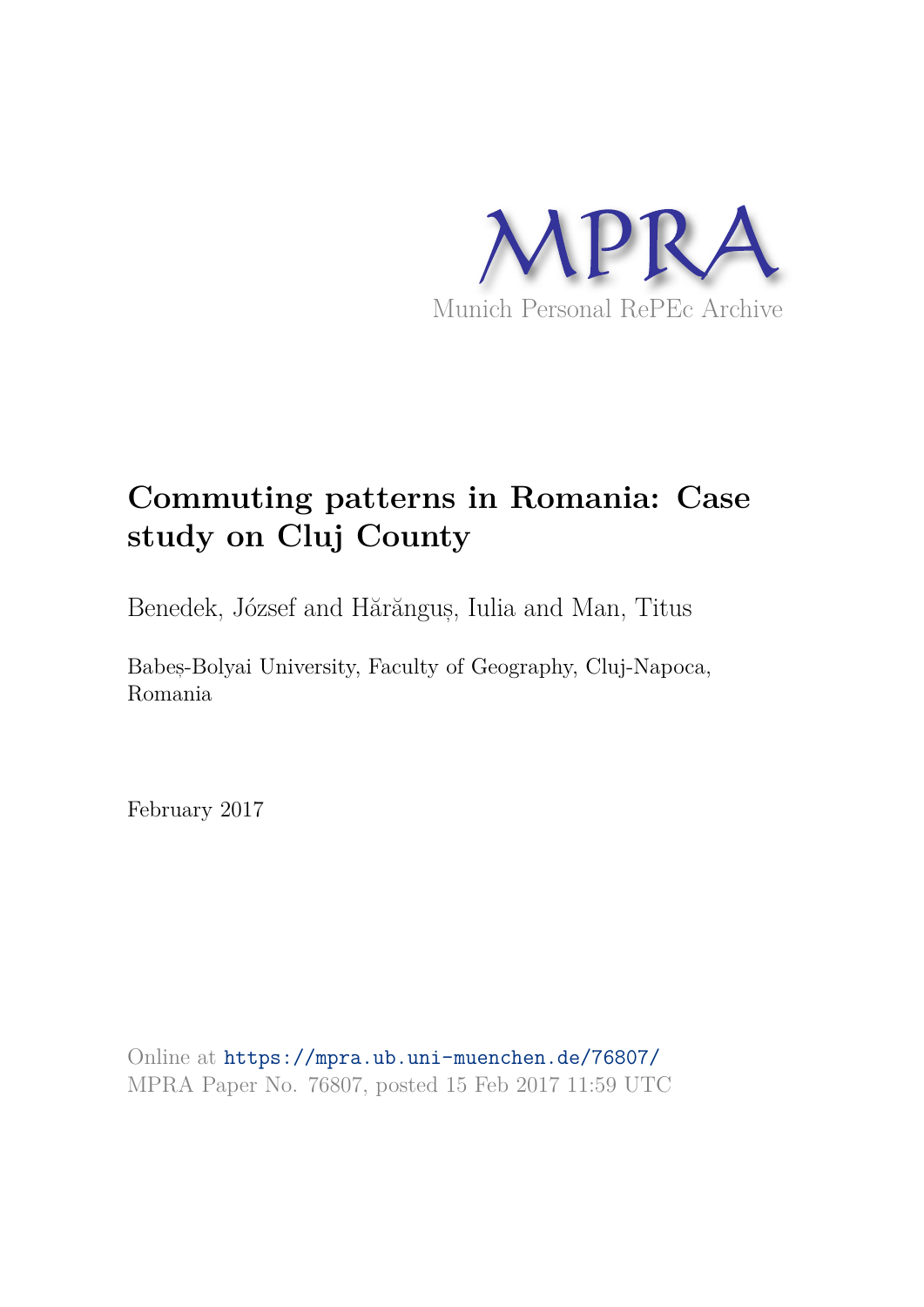

# **Commuting patterns in Romania: Case study on Cluj County**

Benedek, József and Hărănguș, Iulia and Man, Titus

Babes,-Bolyai University, Faculty of Geography, Cluj-Napoca, Romania

February 2017

Online at https://mpra.ub.uni-muenchen.de/76807/ MPRA Paper No. 76807, posted 15 Feb 2017 11:59 UTC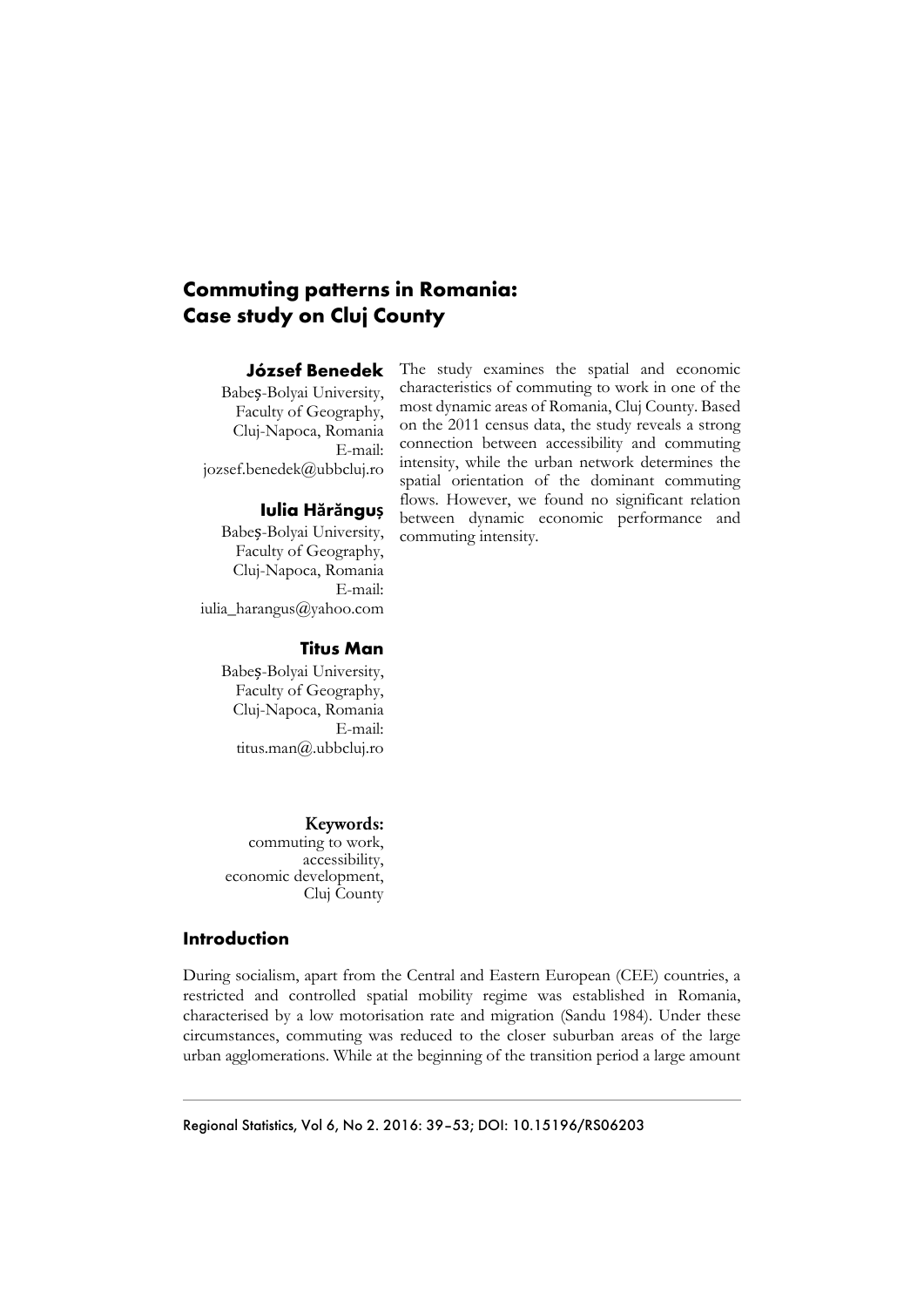## **Commuting patterns in Romania: Case study on Cluj County**

### **József Benedek**

Babeș-Bolyai University, Faculty of Geography, Cluj-Napoca, Romania E-mail: jozsef.benedek@ubbcluj.ro

## **Iulia Hărănguș**

Babeș-Bolyai University, Faculty of Geography, Cluj-Napoca, Romania E-mail: iulia\_harangus@yahoo.com

The study examines the spatial and economic characteristics of commuting to work in one of the most dynamic areas of Romania, Cluj County. Based on the 2011 census data, the study reveals a strong connection between accessibility and commuting intensity, while the urban network determines the spatial orientation of the dominant commuting flows. However, we found no significant relation between dynamic economic performance and commuting intensity.

## **Titus Man**

Babeș-Bolyai University, Faculty of Geography, Cluj-Napoca, Romania E-mail: titus.man@.ubbcluj.ro

Keywords:

commuting to work, accessibility, economic development, Cluj County

## **Introduction**

During socialism, apart from the Central and Eastern European (CEE) countries, a restricted and controlled spatial mobility regime was established in Romania, characterised by a low motorisation rate and migration (Sandu 1984). Under these circumstances, commuting was reduced to the closer suburban areas of the large urban agglomerations. While at the beginning of the transition period a large amount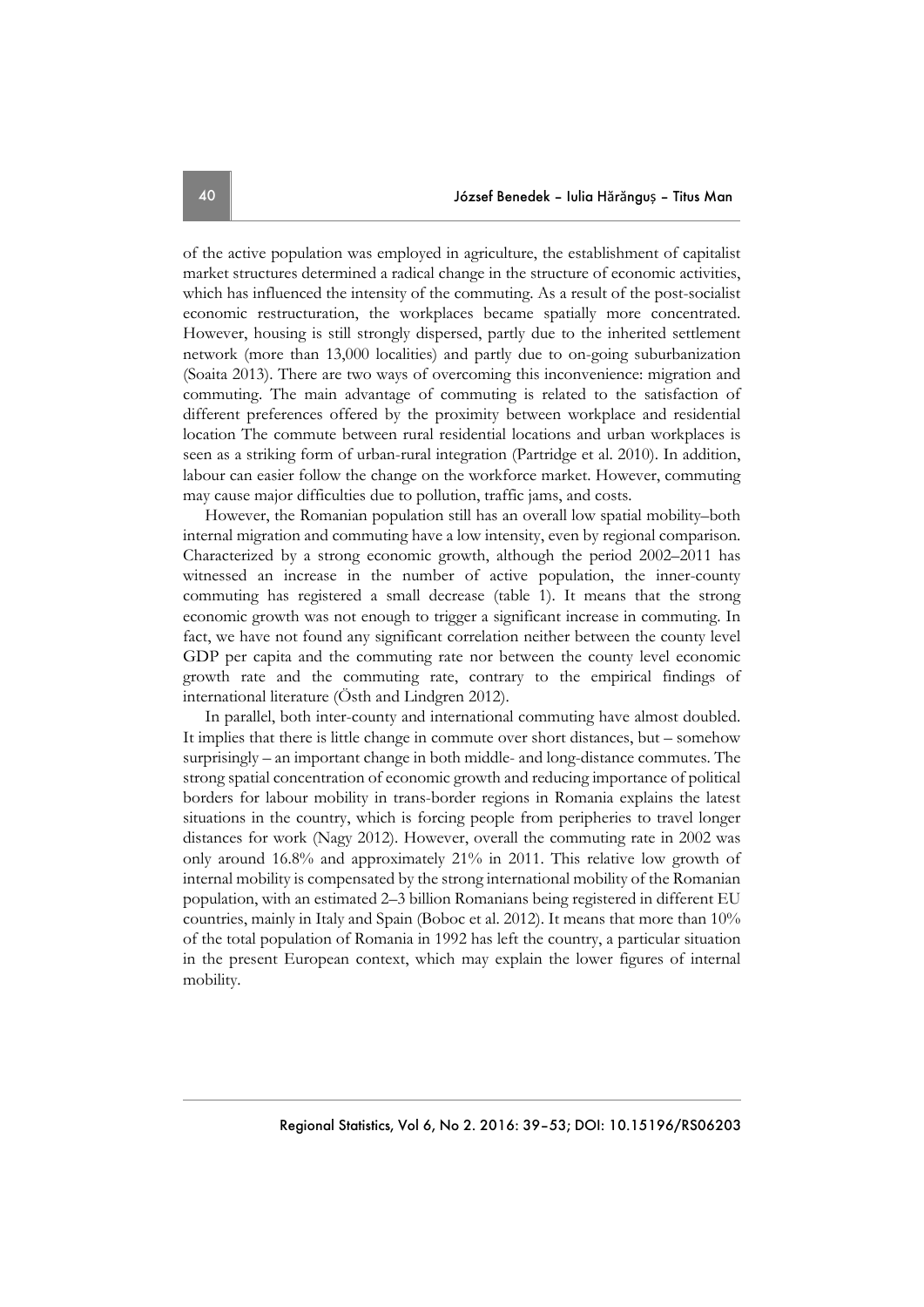of the active population was employed in agriculture, the establishment of capitalist market structures determined a radical change in the structure of economic activities, which has influenced the intensity of the commuting. As a result of the post-socialist economic restructuration, the workplaces became spatially more concentrated. However, housing is still strongly dispersed, partly due to the inherited settlement network (more than 13,000 localities) and partly due to on-going suburbanization (Soaita 2013). There are two ways of overcoming this inconvenience: migration and commuting. The main advantage of commuting is related to the satisfaction of different preferences offered by the proximity between workplace and residential location The commute between rural residential locations and urban workplaces is seen as a striking form of urban-rural integration (Partridge et al. 2010). In addition, labour can easier follow the change on the workforce market. However, commuting may cause major difficulties due to pollution, traffic jams, and costs.

However, the Romanian population still has an overall low spatial mobility–both internal migration and commuting have a low intensity, even by regional comparison. Characterized by a strong economic growth, although the period 2002–2011 has witnessed an increase in the number of active population, the inner-county commuting has registered a small decrease (table 1). It means that the strong economic growth was not enough to trigger a significant increase in commuting. In fact, we have not found any significant correlation neither between the county level GDP per capita and the commuting rate nor between the county level economic growth rate and the commuting rate, contrary to the empirical findings of international literature (Östh and Lindgren 2012).

In parallel, both inter-county and international commuting have almost doubled. It implies that there is little change in commute over short distances, but – somehow surprisingly – an important change in both middle- and long-distance commutes. The strong spatial concentration of economic growth and reducing importance of political borders for labour mobility in trans-border regions in Romania explains the latest situations in the country, which is forcing people from peripheries to travel longer distances for work (Nagy 2012). However, overall the commuting rate in 2002 was only around 16.8% and approximately 21% in 2011. This relative low growth of internal mobility is compensated by the strong international mobility of the Romanian population, with an estimated 2–3 billion Romanians being registered in different EU countries, mainly in Italy and Spain (Boboc et al. 2012). It means that more than 10% of the total population of Romania in 1992 has left the country, a particular situation in the present European context, which may explain the lower figures of internal mobility.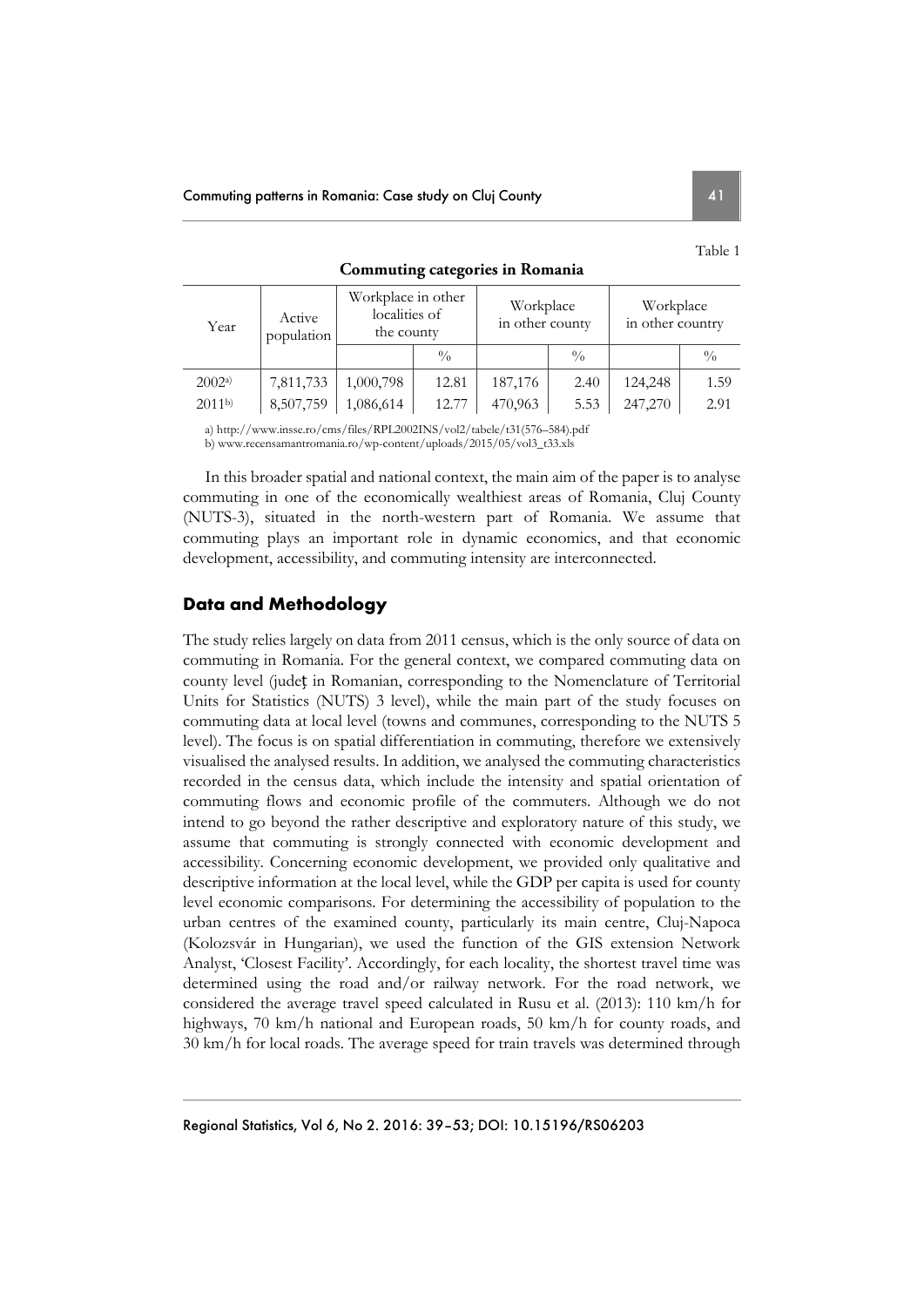| Year              | Active<br>population | Workplace in other<br>localities of<br>the county |               | Workplace<br>in other county |               | Workplace<br>in other country |               |  |
|-------------------|----------------------|---------------------------------------------------|---------------|------------------------------|---------------|-------------------------------|---------------|--|
|                   |                      |                                                   | $\frac{0}{0}$ |                              | $\frac{0}{0}$ |                               | $\frac{0}{0}$ |  |
| 2002a             | 7,811,733            | 1,000,798                                         | 12.81         | 187,176                      | 2.40          | 124,248                       | 1.59          |  |
| 2011 <sup>b</sup> | 8,507,759            | 1,086,614                                         | 12.77         | 470,963                      | 5.53          | 247,270                       | 2.91          |  |

**Commuting categories in Romania** 

a) http://www.insse.ro/cms/files/RPL2002INS/vol2/tabele/t31(576–584).pdf

b) www.recensamantromania.ro/wp-content/uploads/2015/05/vol3\_t33.xls

In this broader spatial and national context, the main aim of the paper is to analyse commuting in one of the economically wealthiest areas of Romania, Cluj County (NUTS-3), situated in the north-western part of Romania. We assume that commuting plays an important role in dynamic economics, and that economic development, accessibility, and commuting intensity are interconnected.

## **Data and Methodology**

The study relies largely on data from 2011 census, which is the only source of data on commuting in Romania. For the general context, we compared commuting data on county level (județ in Romanian, corresponding to the Nomenclature of Territorial Units for Statistics (NUTS) 3 level), while the main part of the study focuses on commuting data at local level (towns and communes, corresponding to the NUTS 5 level). The focus is on spatial differentiation in commuting, therefore we extensively visualised the analysed results. In addition, we analysed the commuting characteristics recorded in the census data, which include the intensity and spatial orientation of commuting flows and economic profile of the commuters. Although we do not intend to go beyond the rather descriptive and exploratory nature of this study, we assume that commuting is strongly connected with economic development and accessibility. Concerning economic development, we provided only qualitative and descriptive information at the local level, while the GDP per capita is used for county level economic comparisons. For determining the accessibility of population to the urban centres of the examined county, particularly its main centre, Cluj-Napoca (Kolozsvár in Hungarian), we used the function of the GIS extension Network Analyst, 'Closest Facility'. Accordingly, for each locality, the shortest travel time was determined using the road and/or railway network. For the road network, we considered the average travel speed calculated in Rusu et al. (2013): 110 km/h for highways, 70 km/h national and European roads, 50 km/h for county roads, and 30 km/h for local roads. The average speed for train travels was determined through

Table 1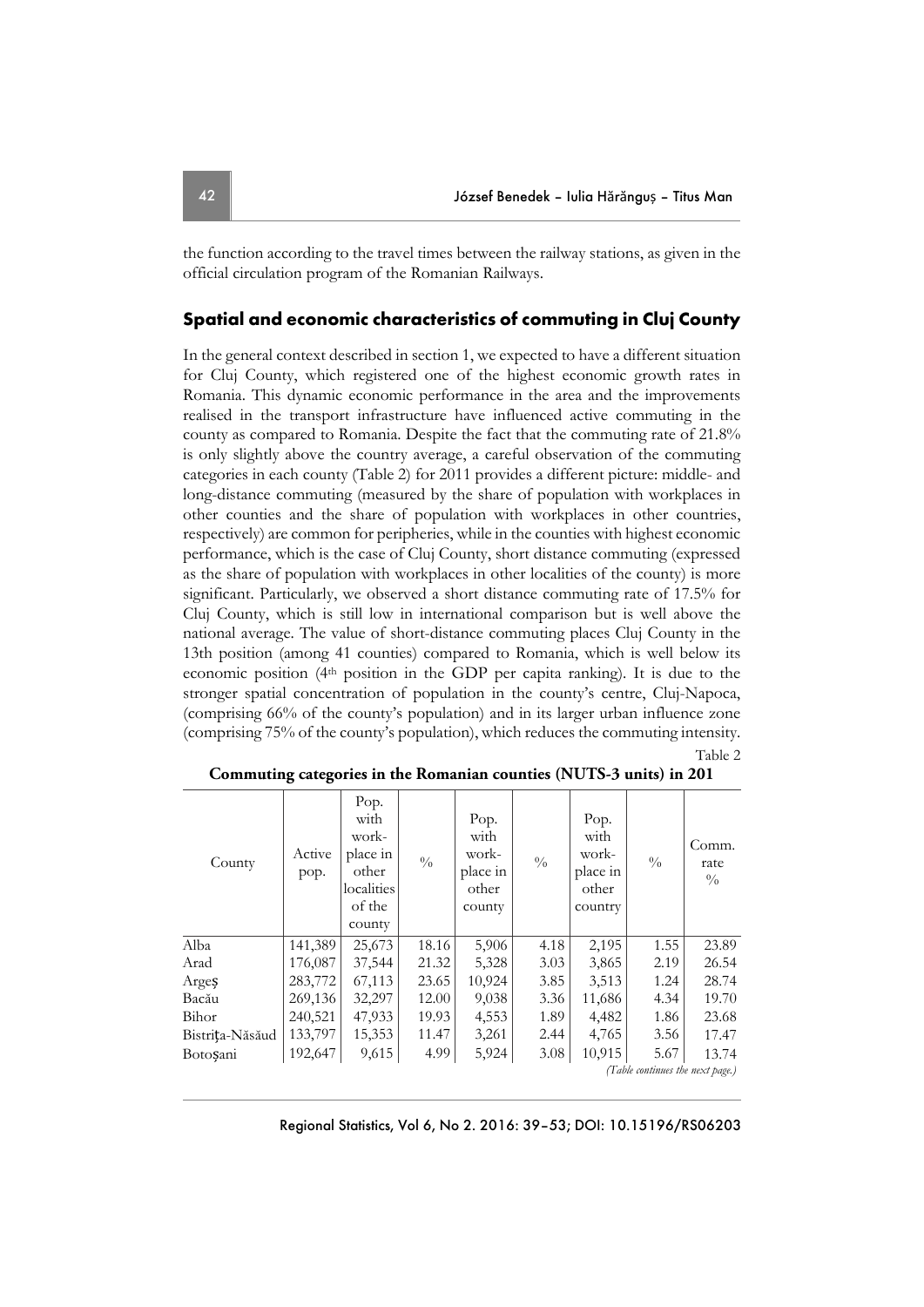the function according to the travel times between the railway stations, as given in the official circulation program of the Romanian Railways.

## **Spatial and economic characteristics of commuting in Cluj County**

In the general context described in section 1, we expected to have a different situation for Cluj County, which registered one of the highest economic growth rates in Romania. This dynamic economic performance in the area and the improvements realised in the transport infrastructure have influenced active commuting in the county as compared to Romania. Despite the fact that the commuting rate of 21.8% is only slightly above the country average, a careful observation of the commuting categories in each county (Table 2) for 2011 provides a different picture: middle- and long-distance commuting (measured by the share of population with workplaces in other counties and the share of population with workplaces in other countries, respectively) are common for peripheries, while in the counties with highest economic performance, which is the case of Cluj County, short distance commuting (expressed as the share of population with workplaces in other localities of the county) is more significant. Particularly, we observed a short distance commuting rate of 17.5% for Cluj County, which is still low in international comparison but is well above the national average. The value of short-distance commuting places Cluj County in the 13th position (among 41 counties) compared to Romania, which is well below its economic position ( $4<sup>th</sup>$  position in the GDP per capita ranking). It is due to the stronger spatial concentration of population in the county's centre, Cluj-Napoca, (comprising 66% of the county's population) and in its larger urban influence zone (comprising 75% of the county's population), which reduces the commuting intensity.

|--|--|

| County                           | Active<br>pop. | Pop.<br>with<br>work-<br>place in<br>other<br>localities<br>of the<br>county | $\frac{0}{0}$ | Pop.<br>with<br>work-<br>place in<br>other<br>county | $\frac{0}{0}$ | Pop.<br>with<br>work-<br>place in<br>other<br>country | $\frac{0}{0}$ | Comm.<br>rate<br>$\frac{0}{0}$ |
|----------------------------------|----------------|------------------------------------------------------------------------------|---------------|------------------------------------------------------|---------------|-------------------------------------------------------|---------------|--------------------------------|
| Alba                             | 141,389        | 25,673                                                                       | 18.16         | 5,906                                                | 4.18          | 2,195                                                 | 1.55          | 23.89                          |
| Arad                             | 176,087        | 37,544                                                                       | 21.32         | 5,328                                                | 3.03          | 3,865                                                 | 2.19          | 26.54                          |
| Arges                            | 283,772        | 67,113                                                                       | 23.65         | 10,924                                               | 3.85          | 3,513                                                 | 1.24          | 28.74                          |
| Bacău                            | 269,136        | 32,297                                                                       | 12.00         | 9,038                                                | 3.36          | 11,686                                                | 4.34          | 19.70                          |
| Bihor                            | 240,521        | 47,933                                                                       | 19.93         | 4,553                                                | 1.89          | 4,482                                                 | 1.86          | 23.68                          |
| Bistrița-Năsăud                  | 133,797        | 15,353                                                                       | 11.47         | 3,261                                                | 2.44          | 4,765                                                 | 3.56          | 17.47                          |
| Botosani                         | 192,647        | 9,615                                                                        | 4.99          | 5,924                                                | 3.08          | 10,915                                                | 5.67          | 13.74                          |
| (Table continues the next page.) |                |                                                                              |               |                                                      |               |                                                       |               |                                |

| Commuting categories in the Romanian counties (NUTS-3 units) in 201 |  |  |
|---------------------------------------------------------------------|--|--|
|---------------------------------------------------------------------|--|--|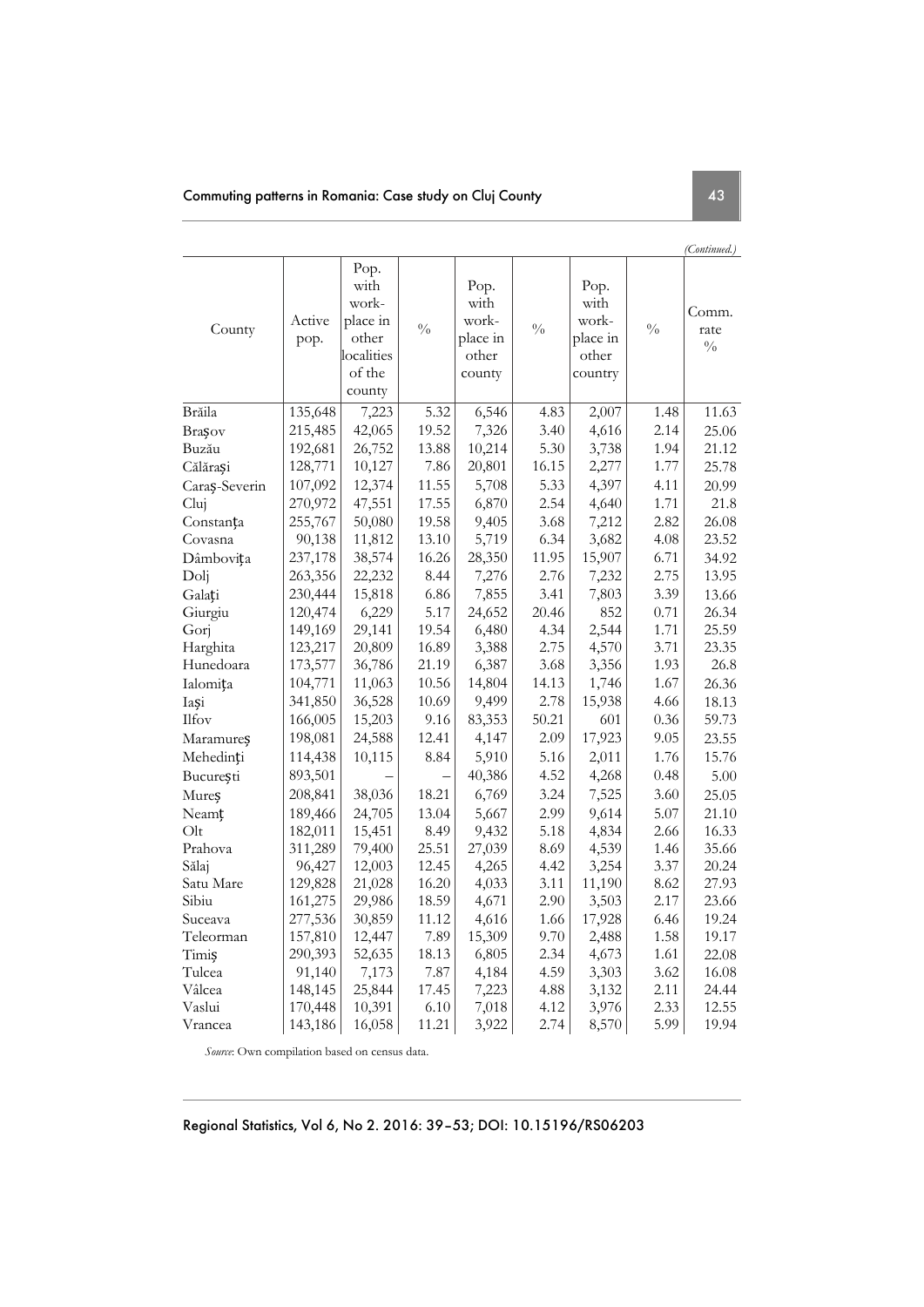|               |                |                                                                              |                   |                                                      |               |                                                       |               | (Continued.)                   |
|---------------|----------------|------------------------------------------------------------------------------|-------------------|------------------------------------------------------|---------------|-------------------------------------------------------|---------------|--------------------------------|
| County        | Active<br>pop. | Pop.<br>with<br>work-<br>place in<br>other<br>localities<br>of the<br>county | $\frac{0}{0}$     | Pop.<br>with<br>work-<br>place in<br>other<br>county | $\frac{0}{0}$ | Pop.<br>with<br>work-<br>place in<br>other<br>country | $\frac{0}{0}$ | Comm.<br>rate<br>$\frac{0}{0}$ |
| Brăila        | 135,648        | 7,223                                                                        | $\overline{5.32}$ | 6,546                                                | 4.83          | 2,007                                                 | 1.48          | 11.63                          |
| Brasov        | 215,485        | 42,065                                                                       | 19.52             | 7,326                                                | 3.40          | 4,616                                                 | 2.14          | 25.06                          |
| Buzău         | 192,681        | 26,752                                                                       | 13.88             | 10,214                                               | 5.30          | 3,738                                                 | 1.94          | 21.12                          |
| Călărași      | 128,771        | 10,127                                                                       | 7.86              | 20,801                                               | 16.15         | 2,277                                                 | 1.77          | 25.78                          |
| Caraș-Severin | 107,092        | 12,374                                                                       | 11.55             | 5,708                                                | 5.33          | 4,397                                                 | 4.11          | 20.99                          |
| Cluj          | 270,972        | 47,551                                                                       | 17.55             | 6,870                                                | 2.54          | 4,640                                                 | 1.71          | 21.8                           |
| Constanța     | 255,767        | 50,080                                                                       | 19.58             | 9,405                                                | 3.68          | 7,212                                                 | 2.82          | 26.08                          |
| Covasna       | 90,138         | 11,812                                                                       | 13.10             | 5,719                                                | 6.34          | 3,682                                                 | 4.08          | 23.52                          |
| Dâmbovița     | 237,178        | 38,574                                                                       | 16.26             | 28,350                                               | 11.95         | 15,907                                                | 6.71          | 34.92                          |
| Dolj          | 263,356        | 22,232                                                                       | 8.44              | 7,276                                                | 2.76          | 7,232                                                 | 2.75          | 13.95                          |
| Galați        | 230,444        | 15,818                                                                       | 6.86              | 7,855                                                | 3.41          | 7,803                                                 | 3.39          | 13.66                          |
| Giurgiu       | 120,474        | 6,229                                                                        | 5.17              | 24,652                                               | 20.46         | 852                                                   | 0.71          | 26.34                          |
| Gorj          | 149,169        | 29,141                                                                       | 19.54             | 6,480                                                | 4.34          | 2,544                                                 | 1.71          | 25.59                          |
| Harghita      | 123,217        | 20,809                                                                       | 16.89             | 3,388                                                | 2.75          | 4,570                                                 | 3.71          | 23.35                          |
| Hunedoara     | 173,577        | 36,786                                                                       | 21.19             | 6,387                                                | 3.68          | 3,356                                                 | 1.93          | 26.8                           |
| Ialomița      | 104,771        | 11,063                                                                       | 10.56             | 14,804                                               | 14.13         | 1,746                                                 | 1.67          | 26.36                          |
| Iași          | 341,850        | 36,528                                                                       | 10.69             | 9,499                                                | 2.78          | 15,938                                                | 4.66          | 18.13                          |
| Ilfov         | 166,005        | 15,203                                                                       | 9.16              | 83,353                                               | 50.21         | 601                                                   | 0.36          | 59.73                          |
| Maramureș     | 198,081        | 24,588                                                                       | 12.41             | 4,147                                                | 2.09          | 17,923                                                | 9.05          | 23.55                          |
| Mehedinți     | 114,438        | 10,115                                                                       | 8.84              | 5,910                                                | 5.16          | 2,011                                                 | 1.76          | 15.76                          |
| București     | 893,501        |                                                                              |                   | 40,386                                               | 4.52          | 4,268                                                 | 0.48          | 5.00                           |
| Mureș         | 208,841        | 38,036                                                                       | 18.21             | 6,769                                                | 3.24          | 7,525                                                 | 3.60          | 25.05                          |
| Neamț         | 189,466        | 24,705                                                                       | 13.04             | 5,667                                                | 2.99          | 9,614                                                 | 5.07          | 21.10                          |
| Olt           | 182,011        | 15,451                                                                       | 8.49              | 9,432                                                | 5.18          | 4,834                                                 | 2.66          | 16.33                          |
| Prahova       | 311,289        | 79,400                                                                       | 25.51             | 27,039                                               | 8.69          | 4,539                                                 | 1.46          | 35.66                          |
| Sălaj         | 96,427         | 12,003                                                                       | 12.45             | 4,265                                                | 4.42          | 3,254                                                 | 3.37          | 20.24                          |
| Satu Mare     | 129,828        | 21,028                                                                       | 16.20             | 4,033                                                | 3.11          | 11,190                                                | 8.62          | 27.93                          |
| Sibiu         | 161,275        | 29,986                                                                       | 18.59             | 4,671                                                | 2.90          | 3,503                                                 | 2.17          | 23.66                          |
| Suceava       | 277,536        | 30,859                                                                       | 11.12             | 4,616                                                | 1.66          | 17,928                                                | 6.46          | 19.24                          |
| Teleorman     | 157,810        | 12,447                                                                       | 7.89              | 15,309                                               | 9.70          | 2,488                                                 | 1.58          | 19.17                          |
| Timiş         | 290,393        | 52,635                                                                       | 18.13             | 6,805                                                | 2.34          | 4,673                                                 | 1.61          | 22.08                          |
| Tulcea        | 91,140         | 7,173                                                                        | 7.87              | 4,184                                                | 4.59          | 3,303                                                 | 3.62          | 16.08                          |
| Vâlcea        | 148,145        | 25,844                                                                       | 17.45             | 7,223                                                | 4.88          | 3,132                                                 | 2.11          | 24.44                          |
| Vaslui        | 170,448        | 10,391                                                                       | 6.10              | 7,018                                                | 4.12          | 3,976                                                 | 2.33          | 12.55                          |
| Vrancea       | 143,186        | 16,058                                                                       | 11.21             | 3,922                                                | 2.74          | 8,570                                                 | 5.99          | 19.94                          |

*Source*: Own compilation based on census data.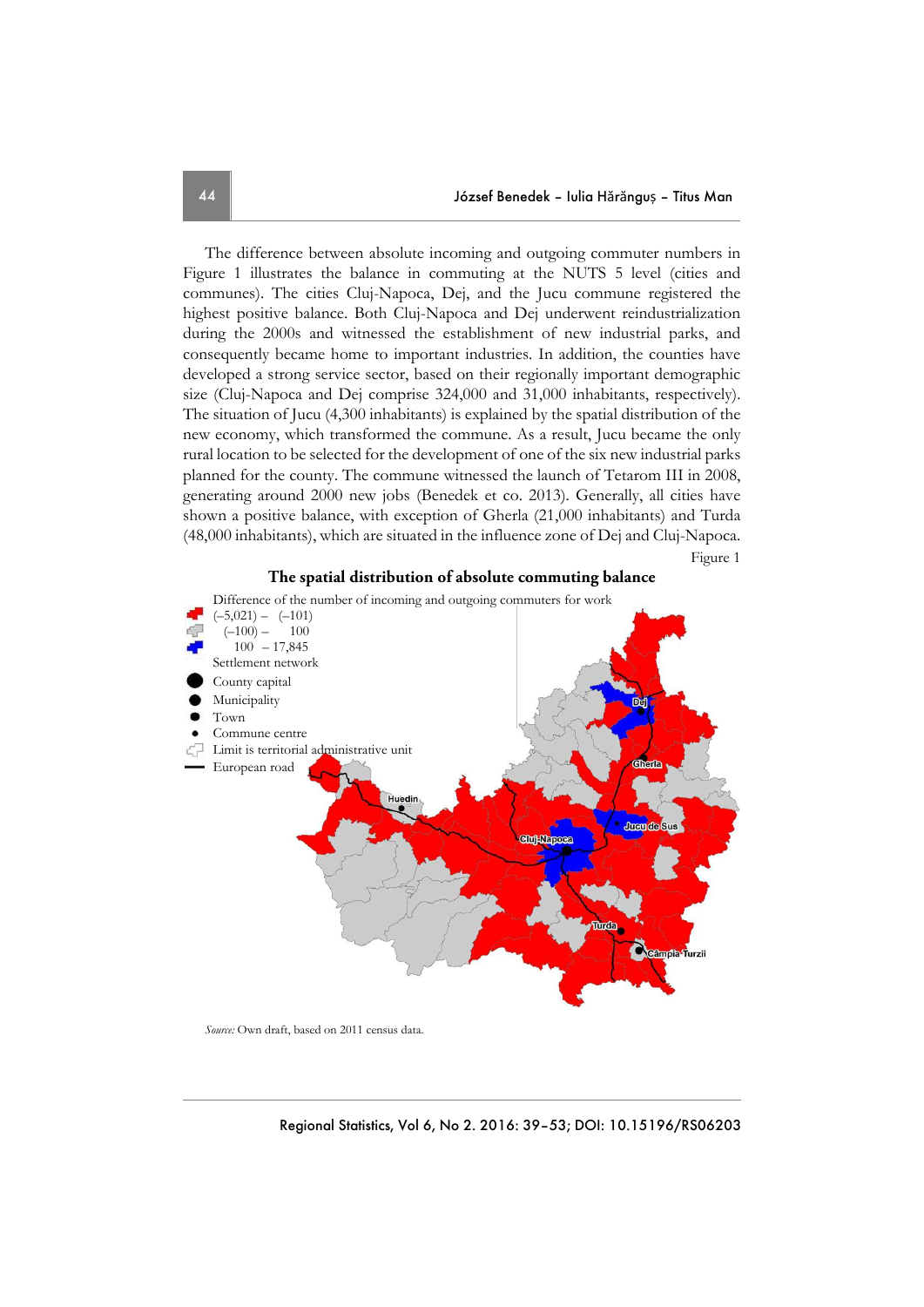The difference between absolute incoming and outgoing commuter numbers in Figure 1 illustrates the balance in commuting at the NUTS 5 level (cities and communes). The cities Cluj-Napoca, Dej, and the Jucu commune registered the highest positive balance. Both Cluj-Napoca and Dej underwent reindustrialization during the 2000s and witnessed the establishment of new industrial parks, and consequently became home to important industries. In addition, the counties have developed a strong service sector, based on their regionally important demographic size (Cluj-Napoca and Dej comprise 324,000 and 31,000 inhabitants, respectively). The situation of Jucu (4,300 inhabitants) is explained by the spatial distribution of the new economy, which transformed the commune. As a result, Jucu became the only rural location to be selected for the development of one of the six new industrial parks planned for the county. The commune witnessed the launch of Tetarom III in 2008, generating around 2000 new jobs (Benedek et co. 2013). Generally, all cities have shown a positive balance, with exception of Gherla (21,000 inhabitants) and Turda (48,000 inhabitants), which are situated in the influence zone of Dej and Cluj-Napoca.

Figure 1

#### **The spatial distribution of absolute commuting balance**



*Source:* Own draft, based on 2011 census data.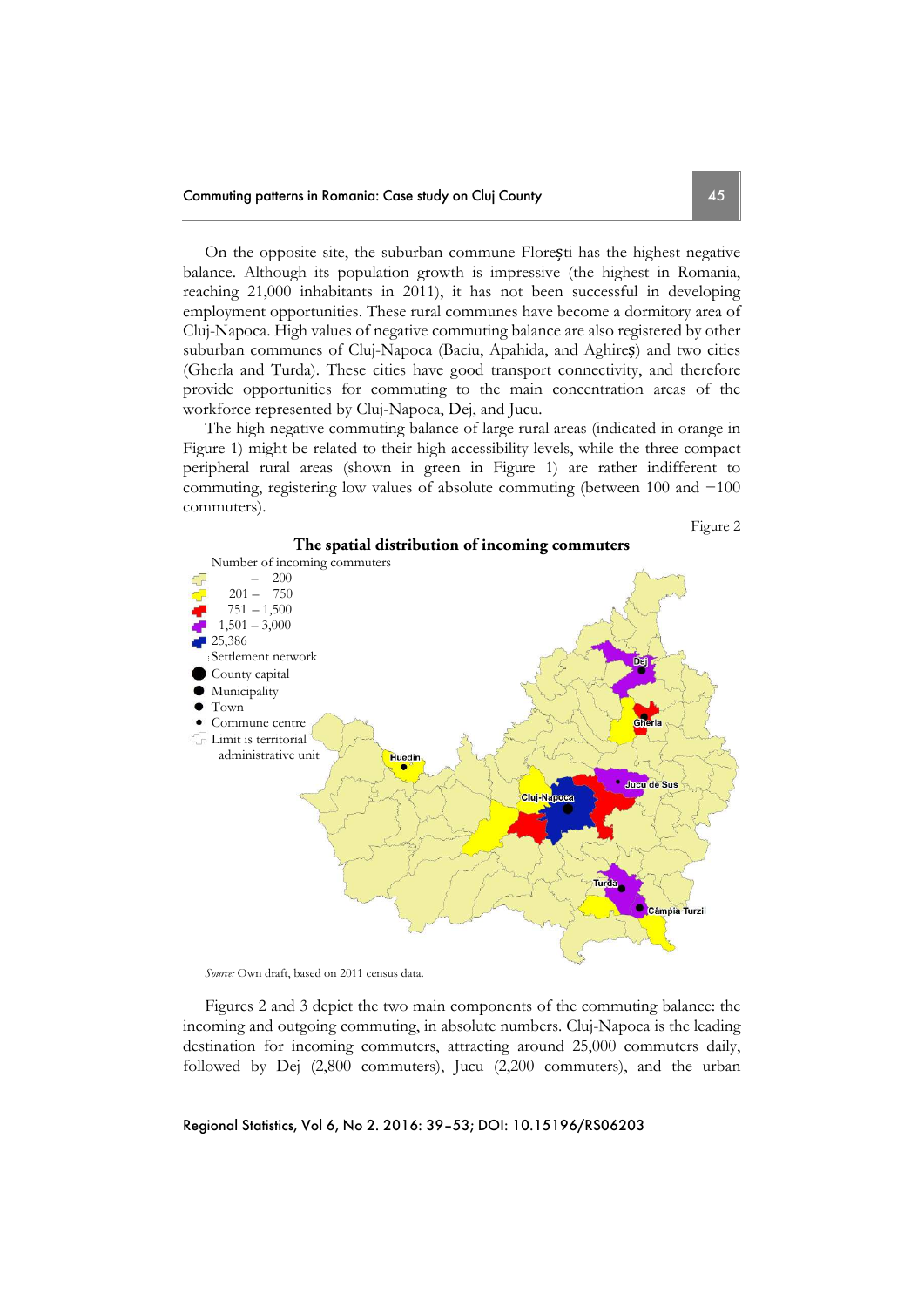On the opposite site, the suburban commune Florești has the highest negative balance. Although its population growth is impressive (the highest in Romania, reaching 21,000 inhabitants in 2011), it has not been successful in developing employment opportunities. These rural communes have become a dormitory area of Cluj-Napoca. High values of negative commuting balance are also registered by other suburban communes of Cluj-Napoca (Baciu, Apahida, and Aghireș) and two cities (Gherla and Turda). These cities have good transport connectivity, and therefore provide opportunities for commuting to the main concentration areas of the workforce represented by Cluj-Napoca, Dej, and Jucu.

The high negative commuting balance of large rural areas (indicated in orange in Figure 1) might be related to their high accessibility levels, while the three compact peripheral rural areas (shown in green in Figure 1) are rather indifferent to commuting, registering low values of absolute commuting (between 100 and −100 commuters).







*Source:* Own draft, based on 2011 census data.

Figures 2 and 3 depict the two main components of the commuting balance: the incoming and outgoing commuting, in absolute numbers. Cluj-Napoca is the leading destination for incoming commuters, attracting around 25,000 commuters daily, followed by Dej (2,800 commuters), Jucu (2,200 commuters), and the urban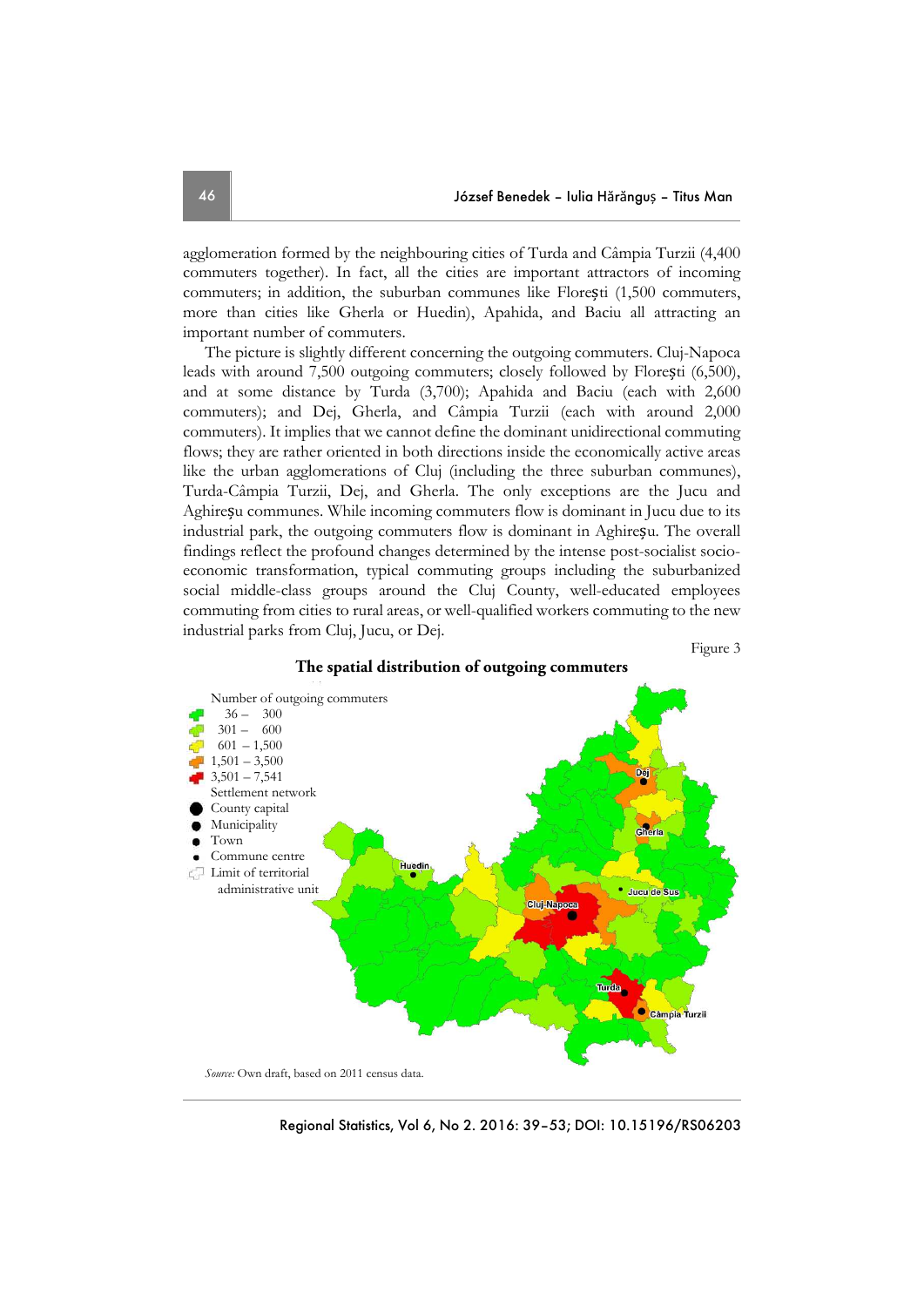agglomeration formed by the neighbouring cities of Turda and Câmpia Turzii (4,400 commuters together). In fact, all the cities are important attractors of incoming commuters; in addition, the suburban communes like Florești (1,500 commuters, more than cities like Gherla or Huedin), Apahida, and Baciu all attracting an important number of commuters.

The picture is slightly different concerning the outgoing commuters. Cluj-Napoca leads with around 7,500 outgoing commuters; closely followed by Florești (6,500), and at some distance by Turda (3,700); Apahida and Baciu (each with 2,600 commuters); and Dej, Gherla, and Câmpia Turzii (each with around 2,000 commuters). It implies that we cannot define the dominant unidirectional commuting flows; they are rather oriented in both directions inside the economically active areas like the urban agglomerations of Cluj (including the three suburban communes), Turda-Câmpia Turzii, Dej, and Gherla. The only exceptions are the Jucu and Aghireșu communes. While incoming commuters flow is dominant in Jucu due to its industrial park, the outgoing commuters flow is dominant in Aghireșu. The overall findings reflect the profound changes determined by the intense post-socialist socioeconomic transformation, typical commuting groups including the suburbanized social middle-class groups around the Cluj County, well-educated employees commuting from cities to rural areas, or well-qualified workers commuting to the new industrial parks from Cluj, Jucu, or Dej.







Regional Statistics, Vol 6, No 2. 2016: 39–53; DOI: 10.15196/RS06203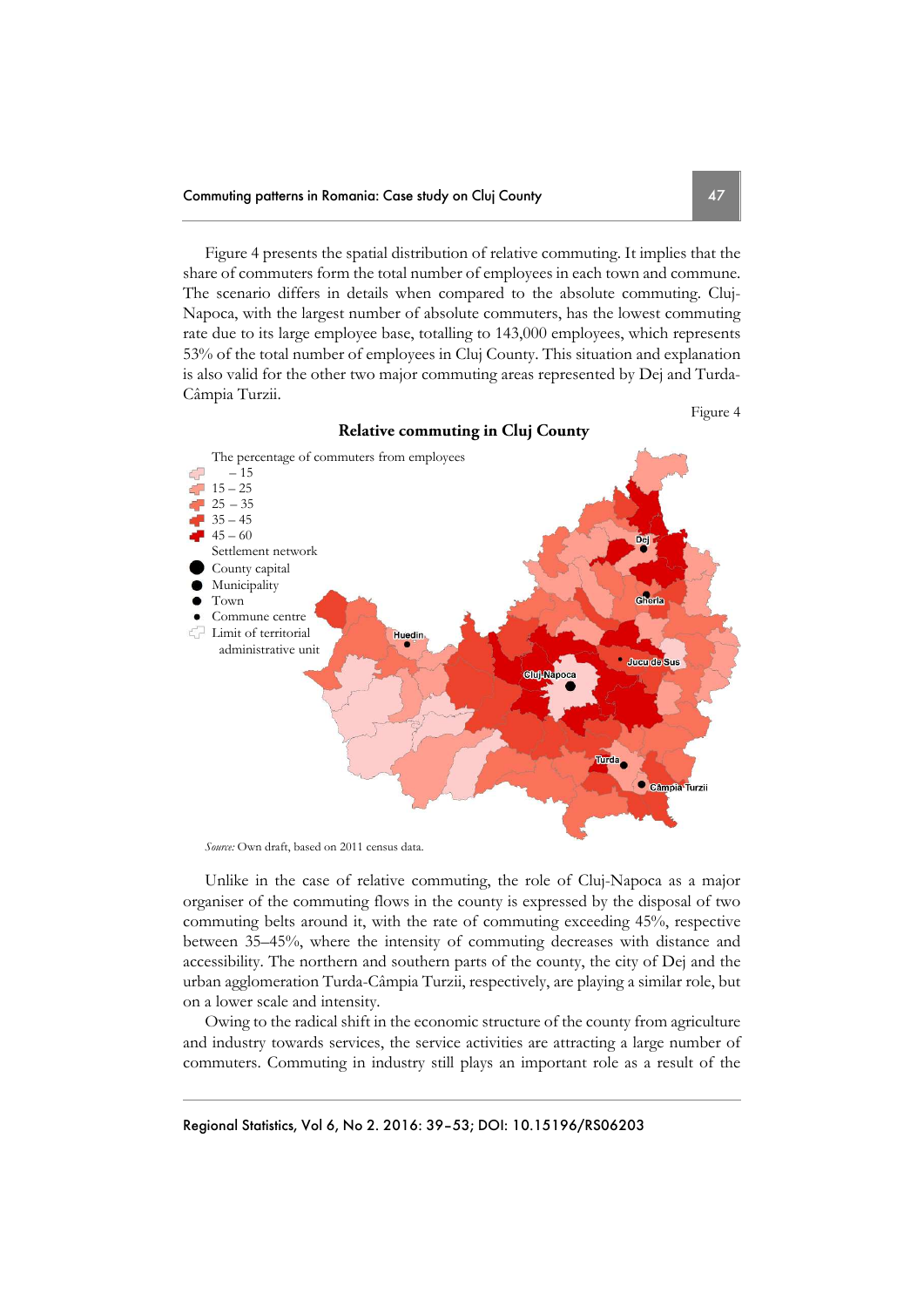Figure 4 presents the spatial distribution of relative commuting. It implies that the share of commuters form the total number of employees in each town and commune. The scenario differs in details when compared to the absolute commuting. Cluj-Napoca, with the largest number of absolute commuters, has the lowest commuting rate due to its large employee base, totalling to 143,000 employees, which represents 53% of the total number of employees in Cluj County. This situation and explanation is also valid for the other two major commuting areas represented by Dej and Turda-Câmpia Turzii.

Figure 4



*Source:* Own draft, based on 2011 census data.

Unlike in the case of relative commuting, the role of Cluj-Napoca as a major organiser of the commuting flows in the county is expressed by the disposal of two commuting belts around it, with the rate of commuting exceeding 45%, respective between 35–45%, where the intensity of commuting decreases with distance and accessibility. The northern and southern parts of the county, the city of Dej and the urban agglomeration Turda-Câmpia Turzii, respectively, are playing a similar role, but on a lower scale and intensity.

Owing to the radical shift in the economic structure of the county from agriculture and industry towards services, the service activities are attracting a large number of commuters. Commuting in industry still plays an important role as a result of the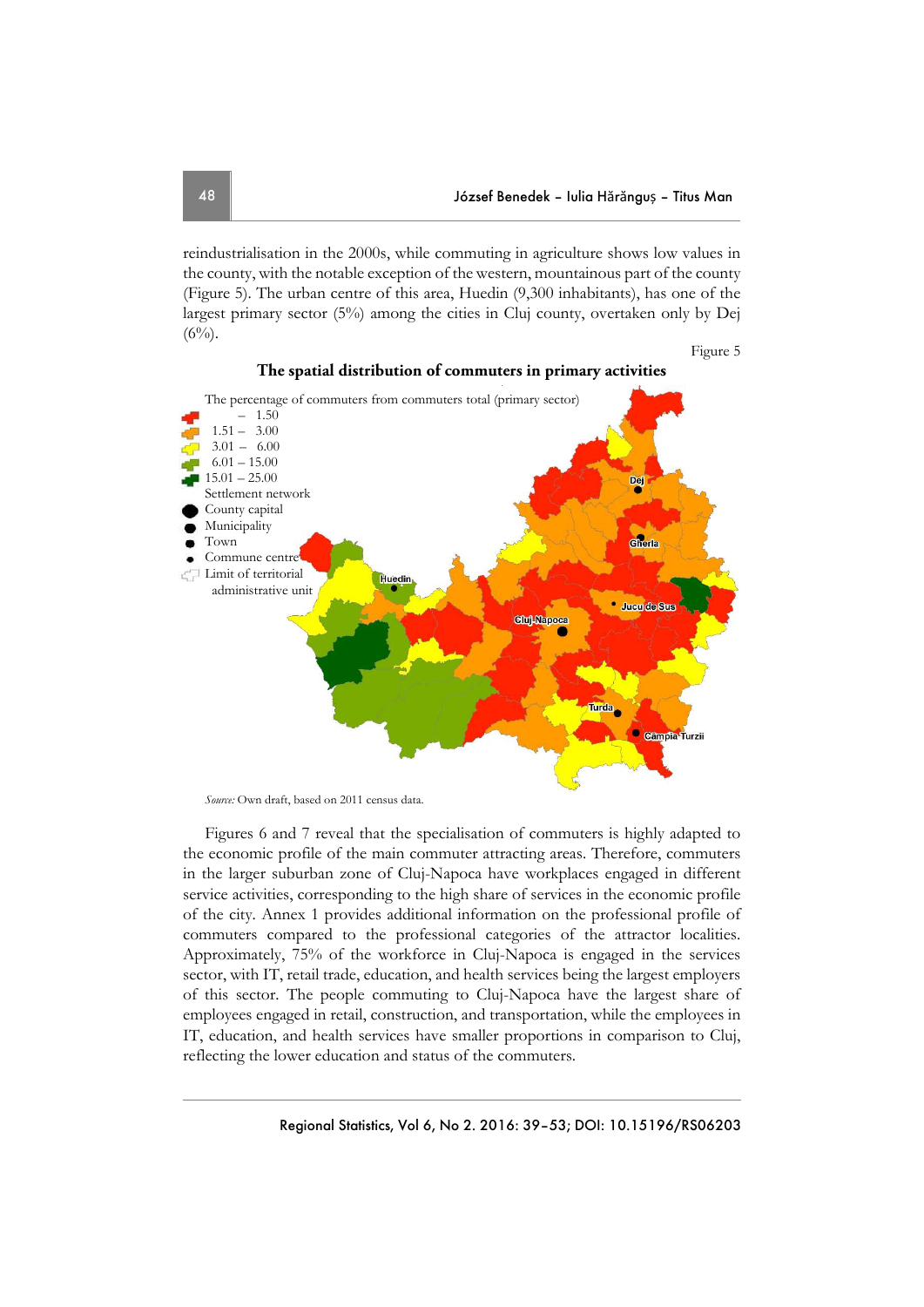Figure 5

reindustrialisation in the 2000s, while commuting in agriculture shows low values in the county, with the notable exception of the western, mountainous part of the county (Figure 5). The urban centre of this area, Huedin (9,300 inhabitants), has one of the largest primary sector (5%) among the cities in Cluj county, overtaken only by Dej  $(6\%)$ .





*Source:* Own draft, based on 2011 census data.

Figures 6 and 7 reveal that the specialisation of commuters is highly adapted to the economic profile of the main commuter attracting areas. Therefore, commuters in the larger suburban zone of Cluj-Napoca have workplaces engaged in different service activities, corresponding to the high share of services in the economic profile of the city. Annex 1 provides additional information on the professional profile of commuters compared to the professional categories of the attractor localities. Approximately, 75% of the workforce in Cluj-Napoca is engaged in the services sector, with IT, retail trade, education, and health services being the largest employers of this sector. The people commuting to Cluj-Napoca have the largest share of employees engaged in retail, construction, and transportation, while the employees in IT, education, and health services have smaller proportions in comparison to Cluj, reflecting the lower education and status of the commuters.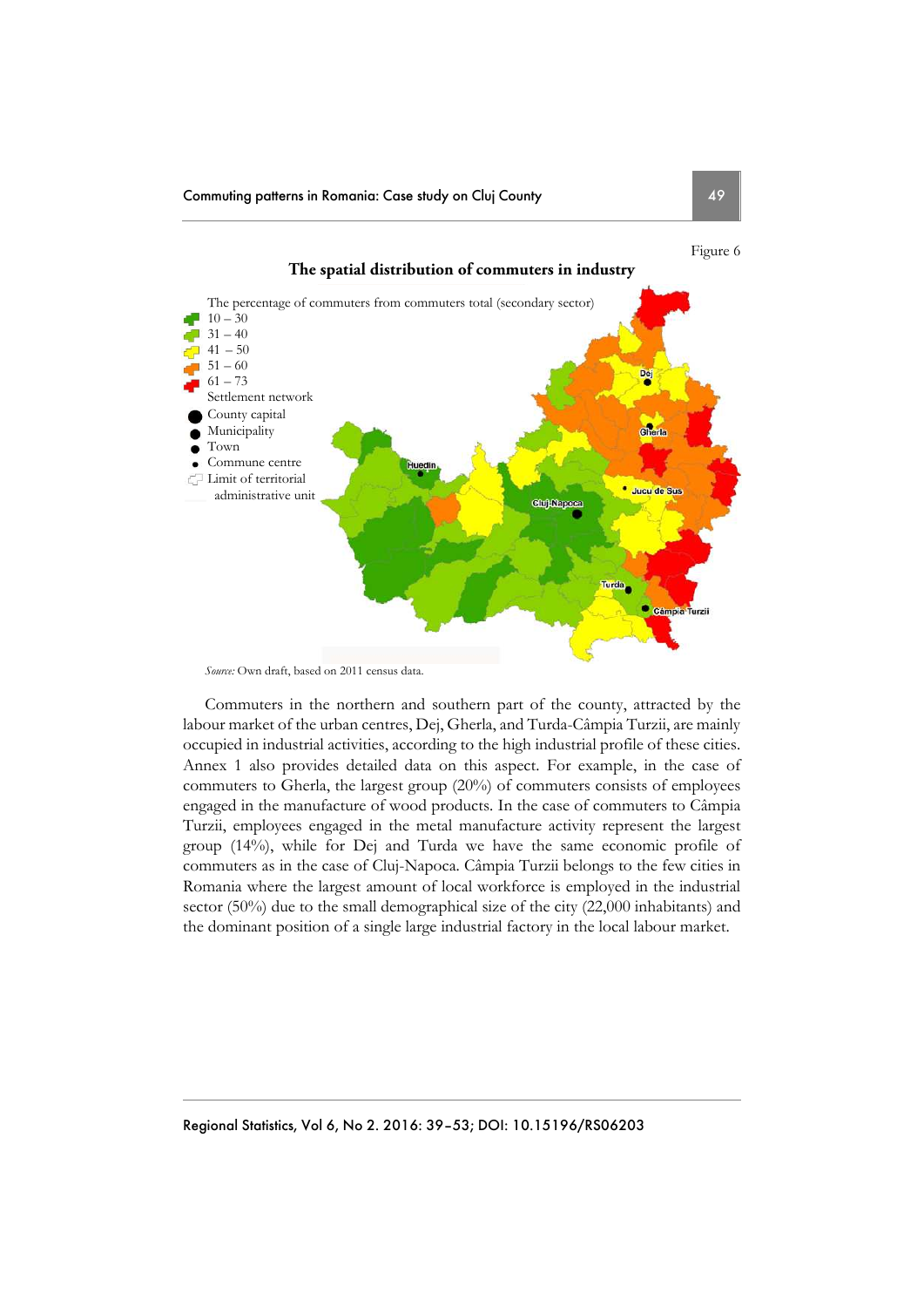

Commuters in the northern and southern part of the county, attracted by the labour market of the urban centres, Dej, Gherla, and Turda-Câmpia Turzii, are mainly occupied in industrial activities, according to the high industrial profile of these cities. Annex 1 also provides detailed data on this aspect. For example, in the case of commuters to Gherla, the largest group (20%) of commuters consists of employees engaged in the manufacture of wood products. In the case of commuters to Câmpia Turzii, employees engaged in the metal manufacture activity represent the largest group (14%), while for Dej and Turda we have the same economic profile of commuters as in the case of Cluj-Napoca. Câmpia Turzii belongs to the few cities in Romania where the largest amount of local workforce is employed in the industrial sector (50%) due to the small demographical size of the city (22,000 inhabitants) and the dominant position of a single large industrial factory in the local labour market.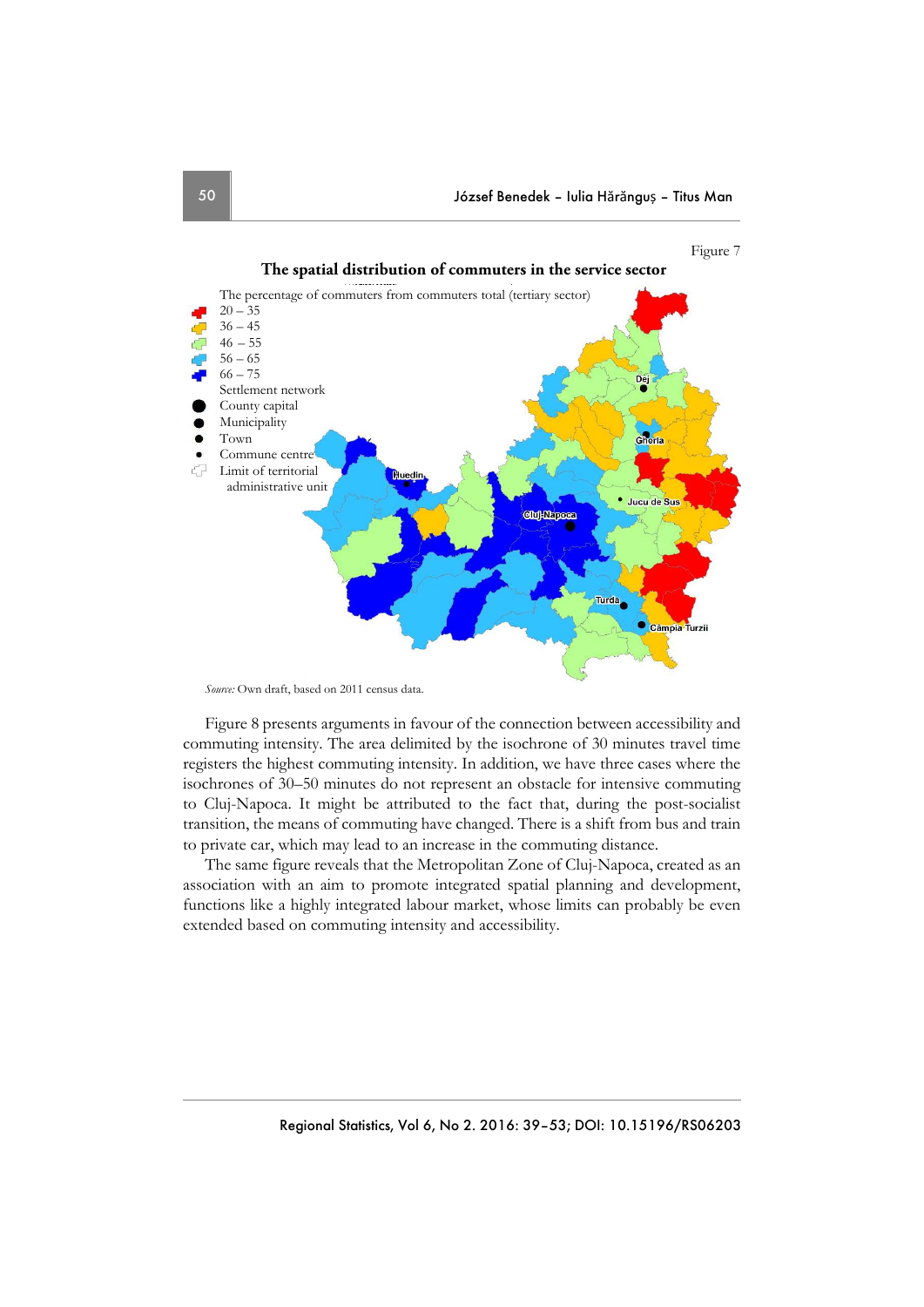



Figure 8 presents arguments in favour of the connection between accessibility and commuting intensity. The area delimited by the isochrone of 30 minutes travel time registers the highest commuting intensity. In addition, we have three cases where the isochrones of 30–50 minutes do not represent an obstacle for intensive commuting to Cluj-Napoca. It might be attributed to the fact that, during the post-socialist transition, the means of commuting have changed. There is a shift from bus and train to private car, which may lead to an increase in the commuting distance.

The same figure reveals that the Metropolitan Zone of Cluj-Napoca, created as an association with an aim to promote integrated spatial planning and development, functions like a highly integrated labour market, whose limits can probably be even extended based on commuting intensity and accessibility.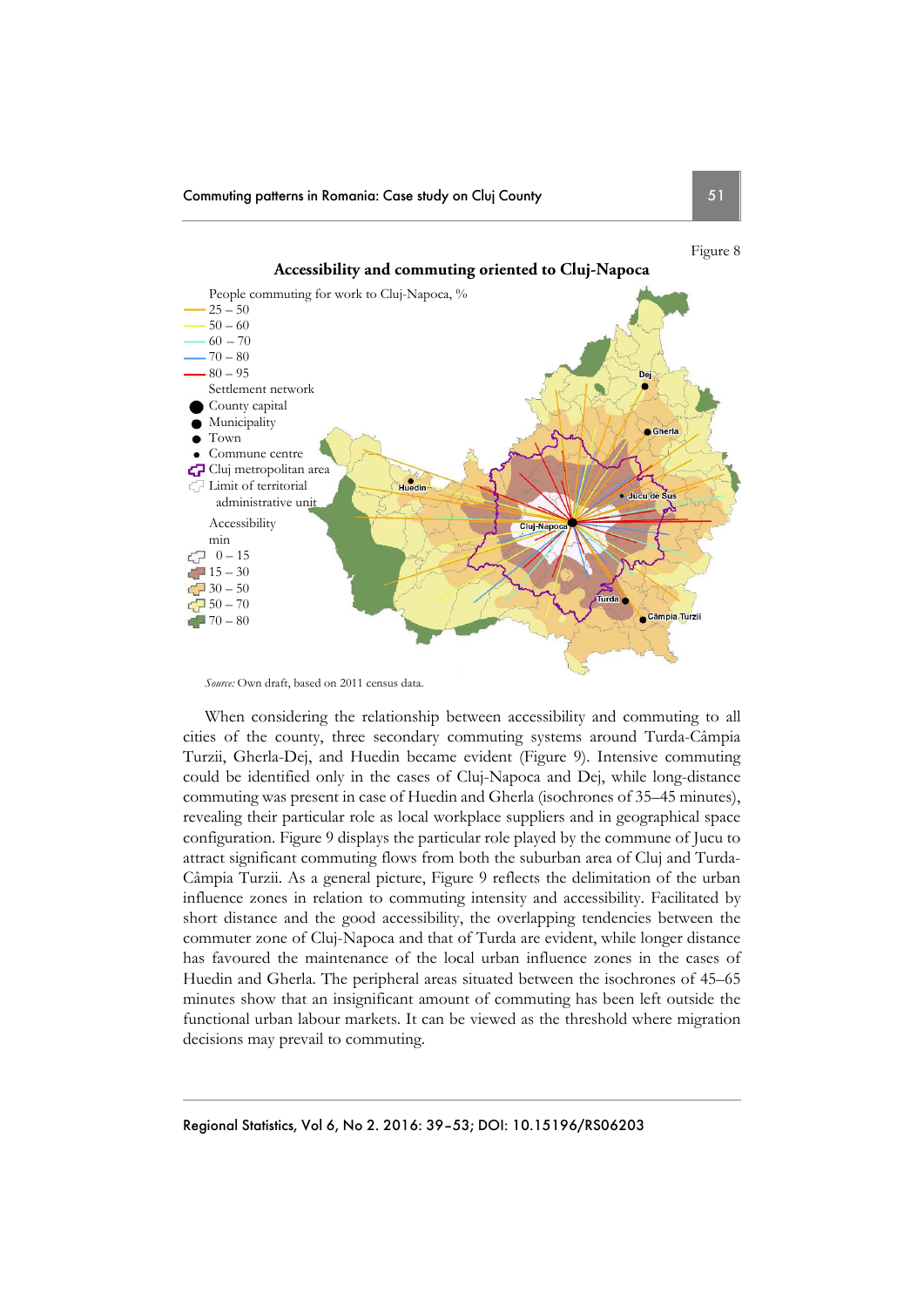

*Source:* Own draft, based on 2011 census data.

When considering the relationship between accessibility and commuting to all cities of the county, three secondary commuting systems around Turda-Câmpia Turzii, Gherla-Dej, and Huedin became evident (Figure 9). Intensive commuting could be identified only in the cases of Cluj-Napoca and Dej, while long-distance commuting was present in case of Huedin and Gherla (isochrones of 35–45 minutes), revealing their particular role as local workplace suppliers and in geographical space configuration. Figure 9 displays the particular role played by the commune of Jucu to attract significant commuting flows from both the suburban area of Cluj and Turda-Câmpia Turzii. As a general picture, Figure 9 reflects the delimitation of the urban influence zones in relation to commuting intensity and accessibility. Facilitated by short distance and the good accessibility, the overlapping tendencies between the commuter zone of Cluj-Napoca and that of Turda are evident, while longer distance has favoured the maintenance of the local urban influence zones in the cases of Huedin and Gherla. The peripheral areas situated between the isochrones of 45–65 minutes show that an insignificant amount of commuting has been left outside the functional urban labour markets. It can be viewed as the threshold where migration decisions may prevail to commuting.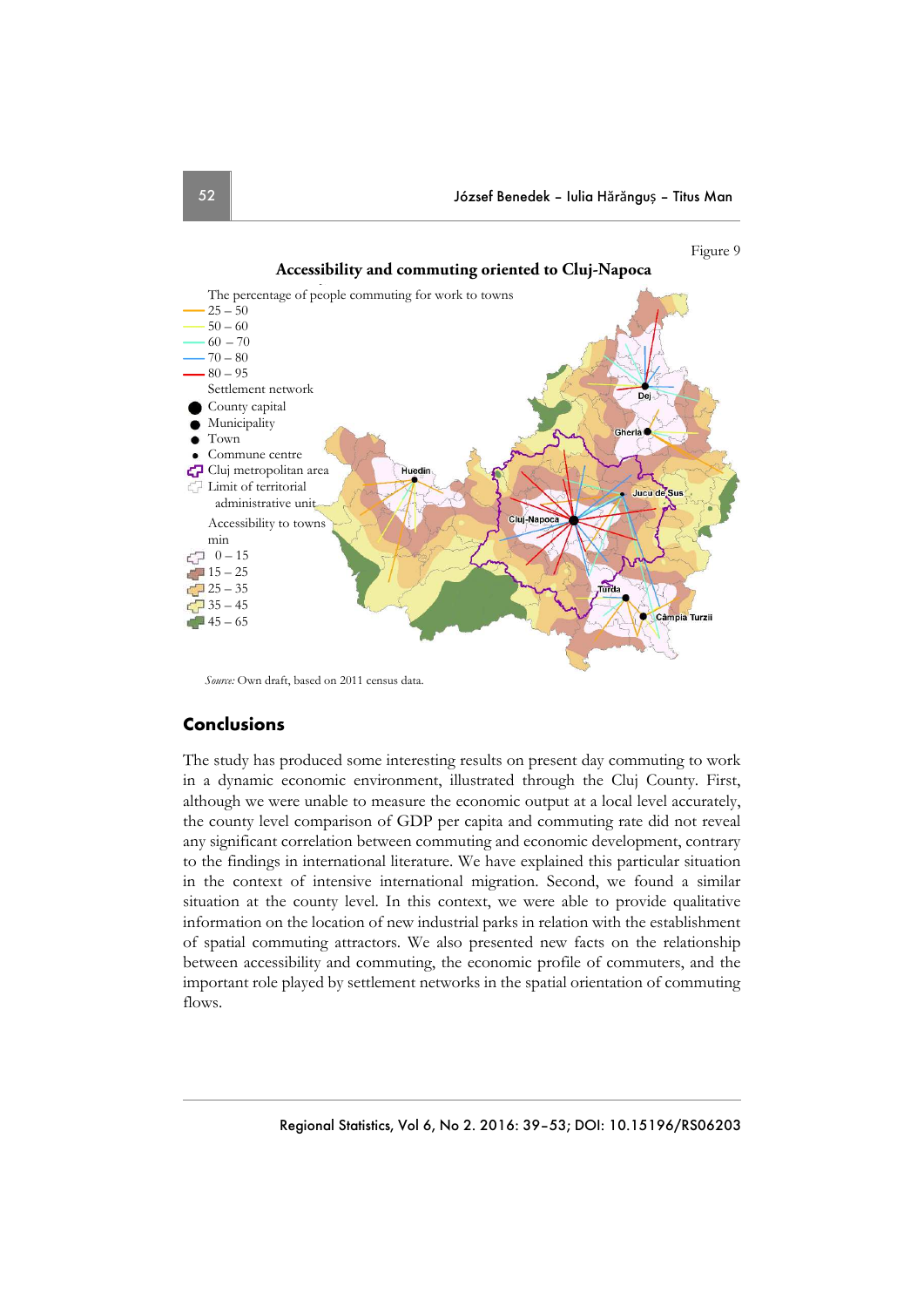

*Source:* Own draft, based on 2011 census data.

## **Conclusions**

The study has produced some interesting results on present day commuting to work in a dynamic economic environment, illustrated through the Cluj County. First, although we were unable to measure the economic output at a local level accurately, the county level comparison of GDP per capita and commuting rate did not reveal any significant correlation between commuting and economic development, contrary to the findings in international literature. We have explained this particular situation in the context of intensive international migration. Second, we found a similar situation at the county level. In this context, we were able to provide qualitative information on the location of new industrial parks in relation with the establishment of spatial commuting attractors. We also presented new facts on the relationship between accessibility and commuting, the economic profile of commuters, and the important role played by settlement networks in the spatial orientation of commuting flows.